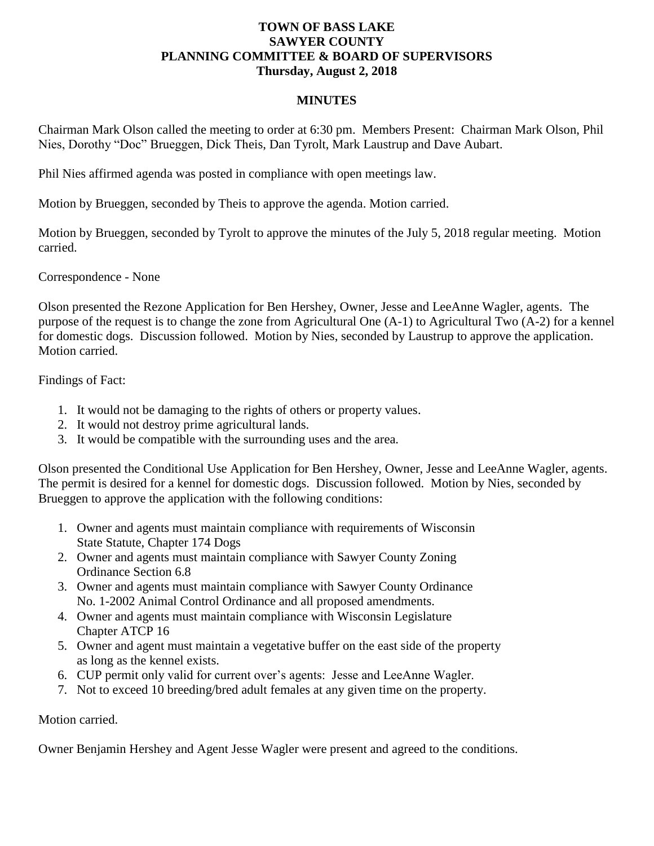## **TOWN OF BASS LAKE SAWYER COUNTY PLANNING COMMITTEE & BOARD OF SUPERVISORS Thursday, August 2, 2018**

## **MINUTES**

Chairman Mark Olson called the meeting to order at 6:30 pm. Members Present: Chairman Mark Olson, Phil Nies, Dorothy "Doc" Brueggen, Dick Theis, Dan Tyrolt, Mark Laustrup and Dave Aubart.

Phil Nies affirmed agenda was posted in compliance with open meetings law.

Motion by Brueggen, seconded by Theis to approve the agenda. Motion carried.

Motion by Brueggen, seconded by Tyrolt to approve the minutes of the July 5, 2018 regular meeting. Motion carried.

Correspondence - None

Olson presented the Rezone Application for Ben Hershey, Owner, Jesse and LeeAnne Wagler, agents. The purpose of the request is to change the zone from Agricultural One (A-1) to Agricultural Two (A-2) for a kennel for domestic dogs. Discussion followed. Motion by Nies, seconded by Laustrup to approve the application. Motion carried.

Findings of Fact:

- 1. It would not be damaging to the rights of others or property values.
- 2. It would not destroy prime agricultural lands.
- 3. It would be compatible with the surrounding uses and the area.

Olson presented the Conditional Use Application for Ben Hershey, Owner, Jesse and LeeAnne Wagler, agents. The permit is desired for a kennel for domestic dogs. Discussion followed. Motion by Nies, seconded by Brueggen to approve the application with the following conditions:

- 1. Owner and agents must maintain compliance with requirements of Wisconsin State Statute, Chapter 174 Dogs
- 2. Owner and agents must maintain compliance with Sawyer County Zoning Ordinance Section 6.8
- 3. Owner and agents must maintain compliance with Sawyer County Ordinance No. 1-2002 Animal Control Ordinance and all proposed amendments.
- 4. Owner and agents must maintain compliance with Wisconsin Legislature Chapter ATCP 16
- 5. Owner and agent must maintain a vegetative buffer on the east side of the property as long as the kennel exists.
- 6. CUP permit only valid for current over's agents: Jesse and LeeAnne Wagler.
- 7. Not to exceed 10 breeding/bred adult females at any given time on the property.

## Motion carried.

Owner Benjamin Hershey and Agent Jesse Wagler were present and agreed to the conditions.